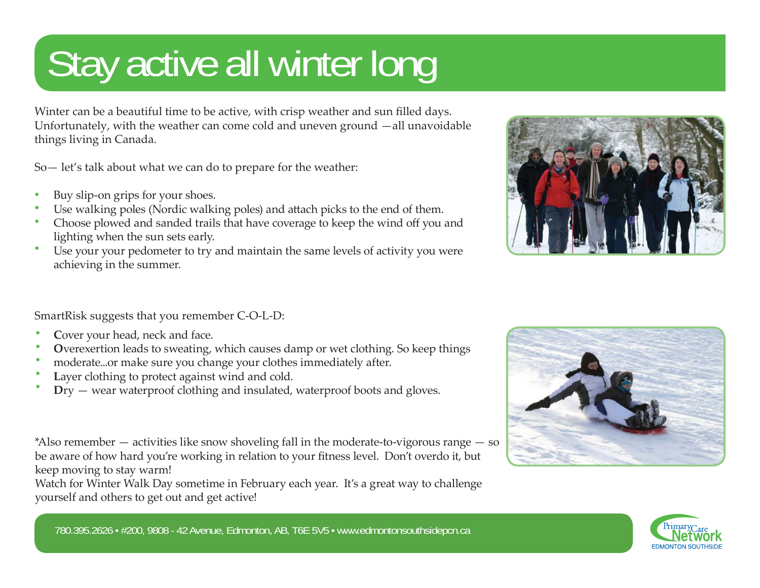## Stay active all winter long

Winter can be a beautiful time to be active, with crisp weather and sun fi lled days. Unfortunately, with the weather can come cold and uneven ground —all unavoidable things living in Canada.

So— let's talk about what we can do to prepare for the weather:

- Buy slip-on grips for your shoes. •
- Use walking poles (Nordic walking poles) and attach picks to the end of them. •
- Choose plowed and sanded trails that have coverage to keep the wind o ff you and lighting when the sun sets early. •
- Use your your pedometer to try and maintain the same levels of activity you were achieving in the summer. •



SmartRisk suggests that you remember C-O-L-D:

- **Cover your head, neck and face.** •
- **O**verexertion leads to sweating, which causes damp or wet clothing. So keep things •
- moderate...or make sure you change your clothes immediately after. •
- Layer clothing to protect against wind and cold. •
- **<sup>D</sup>**ry wear waterproof clothing and insulated, waterproof boots and gloves. •

\*Also remember — activities like snow shoveling fall in the moderate-to-vigorous range — so be aware of how hard you're working in relation to your fitness level. Don't overdo it, but keep moving to stay warm!

Watch for Winter Walk Day sometime in February each year. It's a great way to challenge yourself and others to get out and get active!





780.395.2626 • #200, 9808 - 42 Avenue, Edmonton, AB, T6E 5V5 • www.edmontonsouthsidepcn.ca